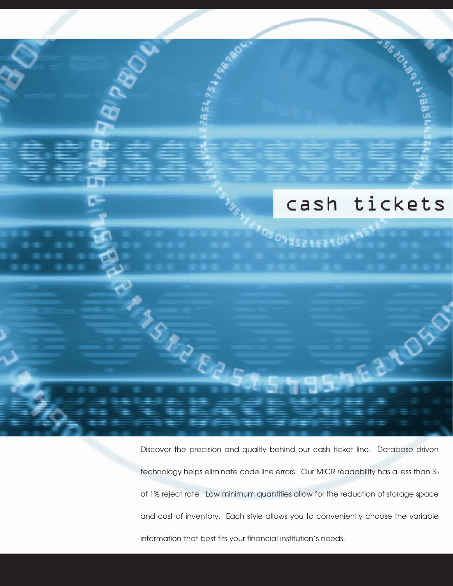# cash tickets

Prosongszteztost<sup>ak</sup>

SC-20 TON BOOM PS

DSS

Discover the precision and quality behind our cash ticket line. Database driven technology helps eliminate code line errors. Our MICR readability has a less than 1⁄10 of 1% reject rate. Low minimum quantities allow for the reduction of storage space and cost of inventory. Each style allows you to conveniently choose the variable information that best fits your financial institution's needs.

**SSPREED**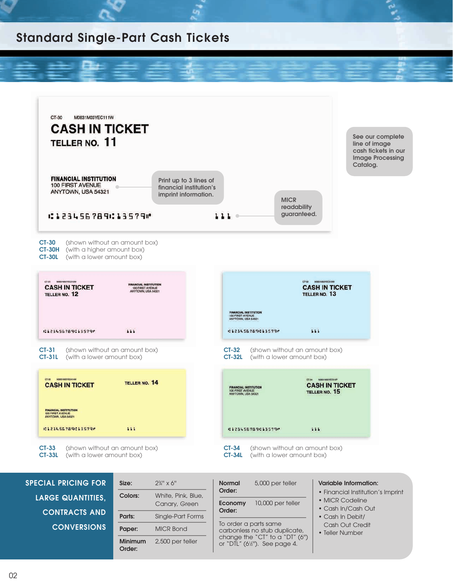# **Standard Single-Part Cash Tickets**



| <b>SPECIAL PRICING FOR</b> | Size:                    | $2\frac{3}{4}$ " x 6"               | 5,000 per teller<br><b>Normal</b>                                           | <b>Variable Information:</b>                                               |
|----------------------------|--------------------------|-------------------------------------|-----------------------------------------------------------------------------|----------------------------------------------------------------------------|
| <b>LARGE QUANTITIES,</b>   | Colors:                  | White, Pink, Blue,<br>Canary, Green | Order:<br>10,000 per teller<br>Economy                                      | • Financial Institution's Imprint<br>• MICR Codeline<br>• Cash In/Cash Out |
| <b>CONTRACTS AND</b>       | Parts:                   | Single-Part Forms                   | Order:                                                                      | • Cash In Debit/                                                           |
| <b>CONVERSIONS</b>         | Paper:                   | <b>MICR Bond</b>                    | To order a parts same<br>carbonless no stub duplicate,                      | Cash Out Credit<br>• Teller Number                                         |
|                            | <b>Minimum</b><br>Order: | 2,500 per teller                    | change the "CT" to a "DT" $(6")$<br>or "DTL" $(6\frac{1}{2})$ . See page 4. |                                                                            |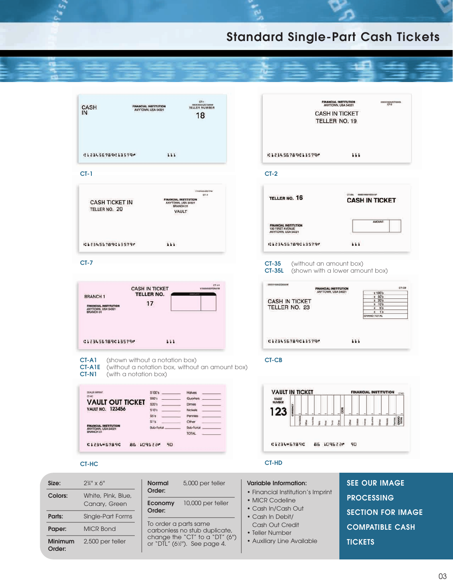# **Standard Single-Part Cash Tickets**

| CASH<br>IN                                                                                                                                                            | $CT-1$<br><b>REXERCISEDER</b><br>TELLER NUMBER<br><b>FINANCIAL INSTITUTION</b><br>ANYTOWN, USA 54321<br>18                                                                                 | <b>FINANCIAL INSTITUTION</b><br>IERRATORAZCTORRG<br>ANYTOWN, USA 54321<br><b>CASH IN TICKET</b><br>TELLER NO. 19                                                                                                                                                                    |
|-----------------------------------------------------------------------------------------------------------------------------------------------------------------------|--------------------------------------------------------------------------------------------------------------------------------------------------------------------------------------------|-------------------------------------------------------------------------------------------------------------------------------------------------------------------------------------------------------------------------------------------------------------------------------------|
| :123456789:13579"                                                                                                                                                     | 111                                                                                                                                                                                        | 41234567894135796<br>111                                                                                                                                                                                                                                                            |
| $CT-1$                                                                                                                                                                |                                                                                                                                                                                            | $CT-2$                                                                                                                                                                                                                                                                              |
| <b>CASH TICKET IN</b><br>TELLER NO. 20                                                                                                                                | 11193102A2C77W<br>27.3<br><b>FINANCIAL INSTITUTION</b><br>ANYTOWN, USA 54321<br>BRANCH 01<br>VAULT                                                                                         | CT-35L MIGSIMISYEES1SP<br><b>TELLER NO. 16</b><br><b>CASH IN TICKET</b>                                                                                                                                                                                                             |
|                                                                                                                                                                       |                                                                                                                                                                                            | AMOUNT<br><b>FINANCIAL INSTITUTION</b><br>100 FIRST AVENUE<br>ANYTOWN, USA 54321                                                                                                                                                                                                    |
| 41234567894135790                                                                                                                                                     | 111                                                                                                                                                                                        | 111<br>01234567890135790                                                                                                                                                                                                                                                            |
| <b>BRANCH 1</b><br><b>FINANCIAL INSTITUTION</b><br>ANYTOWN, USA 54321<br>BRANCH 01                                                                                    | <b>CT-AT</b><br><b>CASH IN TICKET</b><br>V7005V86EPDN01W<br><b>TELLER NO.</b><br>17                                                                                                        | <b>CT-35L</b><br>(shown with a lower amount box)<br><b>IKKKKYBSAZGB365W</b><br>OT-OB<br><b>FINANCIAL INSTITUTION</b><br>ANYTOWN, USA 54321<br>х 100'в<br>$x$ 50's<br><b>CASH IN TICKET</b><br>$x$ 20's<br>$x$ $10's$<br>TELLER NO. 23<br>x 5's<br>$x - 1$ 's<br><b>JATOT GIAARD</b> |
| 41234567894135796                                                                                                                                                     | 111                                                                                                                                                                                        | 111<br>41234567894135790                                                                                                                                                                                                                                                            |
| CT-A1<br><b>CT-A1E</b><br>CT-N1                                                                                                                                       | (shown without a notation box)<br>(without a notation box, without an amount box)<br>(with a notation box)                                                                                 | <b>CT-CB</b>                                                                                                                                                                                                                                                                        |
| DEALER BARRAIT<br><b>CTAC</b><br><b>VAULT OUT TICKET</b><br><b>VAULT NO. 123456</b><br>FINANCIAL INSTITUTION<br>ANYTOWN, USA 54321<br>BRANCH 01<br><b>CL234-6789C</b> | \$100's<br>Halves<br>\$50's<br>Quarters<br>\$20's<br>Dimes<br>\$10's<br><b>Nickels</b><br>\$5's<br>Pennies<br>51's<br>Other<br>Sub-Total<br>Sub-Total<br><b>TOTAL</b><br>455 2204 28<br>90 | <b>VAULT IN TICKET</b><br><b>FINANCIAL INSTITUTION</b><br><b>VAULT</b><br>NUMBER<br><b>CURRENCY</b><br>Ē<br>123<br>:1234-67890<br>45 109622<br>90                                                                                                                                   |
| <b>CT-HC</b>                                                                                                                                                          |                                                                                                                                                                                            | <b>CT-HD</b>                                                                                                                                                                                                                                                                        |
| Size:<br>$2\frac{3}{4}$ " x 6"                                                                                                                                        | <b>Normal</b><br>5,000 per teller                                                                                                                                                          | <b>SEE OUR IMAGE</b><br><b>Variable Information:</b>                                                                                                                                                                                                                                |
| Colors:<br>White, Pink, Blue,<br>Canary, Green                                                                                                                        | Order:<br>10,000 per teller<br>Economy                                                                                                                                                     | • Financial Institution's Imprint<br><b>PROCESSING</b><br>• MICR Codeline                                                                                                                                                                                                           |

- MICR Codeline • Cash In/Cash Out
- Cash In Debit/

**Parts:** Single-Part Forms

**Order:**

To order a parts same carbonless no stub duplicate, change the "CT" to a "DT" (6'') or "DTL" (61 ⁄2''). See page 4.

**Paper:** MICR Bond **Minimum** 2,500 per teller

**Order:**

- Cash Out Credit
- Teller Number
- Auxiliary Line Available
- **PROCESSING SECTION FOR IMAGE COMPATIBLE CASH TICKETS**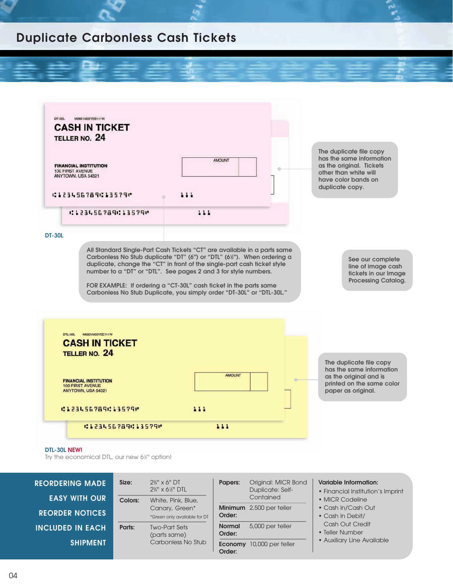#### **Duplicate Carbonless Cash Tickets**



Try the economical DTL, our new 6½" option!

| <b>REORDERING MADE</b><br><b>EASY WITH OUR</b> | Size:<br>Colors: | $2\%''$ x 6" DT<br>2%" x 6%" DTL<br>White, Pink, Blue, | Papers:                 | Original: MICR Bond<br>Duplicate: Self-<br>Contained | <b>Variable Information:</b><br>• Financial Institution's Imprint<br>• MICR Codeline |
|------------------------------------------------|------------------|--------------------------------------------------------|-------------------------|------------------------------------------------------|--------------------------------------------------------------------------------------|
| <b>REORDER NOTICES</b>                         |                  | Canary, Green*<br>*Green only available for DT         | Order:                  | Minimum 2,500 per teller                             | • Cash In/Cash Out<br>• Cash In Debit/                                               |
| <b>INCLUDED IN EACH</b>                        | Parts:           | <b>Two-Part Sets</b><br>(parts same)                   | <b>Normal</b><br>Order: | 5,000 per teller                                     | Cash Out Credit<br>• Teller Number                                                   |
| <b>SHIPMENT</b>                                |                  | Carbonless No Stub                                     | Economy<br>Order:       | 10,000 per teller                                    | • Auxiliary Line Available                                                           |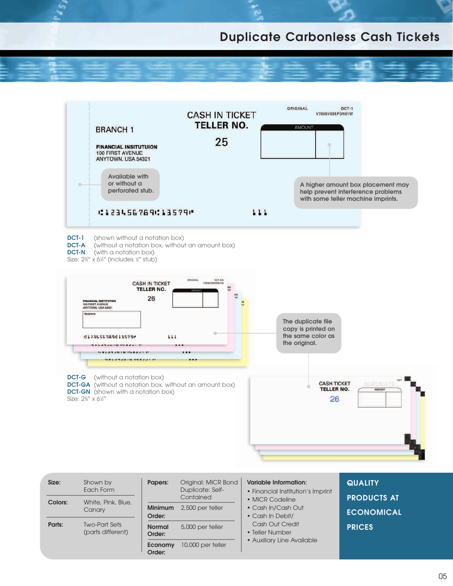## **Duplicate Carbonless Cash Tickets**



| Size:   | Shown by<br>Each Form                     | Papers:                  | Original: MICR Bond<br><b>Duplicate: Self-</b><br>Contained | <b>Variable Information:</b><br>• Financial Institution's Imprint<br>• MICR Codeline | <b>QUALITY</b><br><b>PRODUCTS AT</b> |
|---------|-------------------------------------------|--------------------------|-------------------------------------------------------------|--------------------------------------------------------------------------------------|--------------------------------------|
| Colors: | White, Pink, Blue,<br>Canary              | <b>Minimum</b><br>Order: | 2,500 per teller                                            | • Cash In/Cash Out<br>• Cash In Debit/                                               | <b>ECONOMICAL</b>                    |
| Parts:  | <b>Two-Part Sets</b><br>(parts different) | <b>Normal</b><br>Order:  | 5,000 per teller                                            | Cash Out Credit<br>• Teller Number                                                   | <b>PRICES</b>                        |
|         |                                           | Economy<br>Order:        | 10,000 per teller                                           | • Auxiliary Line Available                                                           |                                      |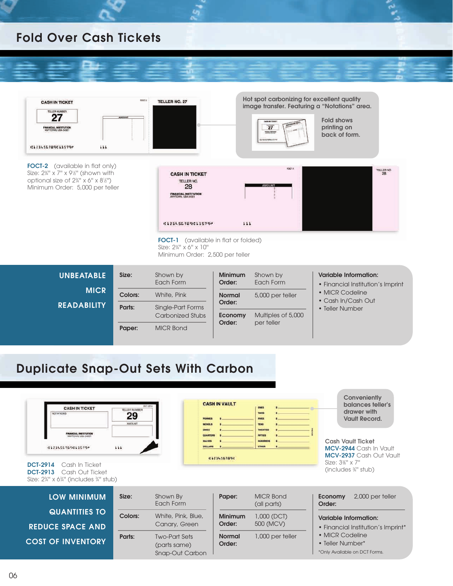#### **Fold Over Cash Tickets**



| <b>UNBEATABLE</b> | Size:   | Shown by<br>Each Form                 | <b>Minimum</b><br>Order: | Shown by<br>Each Form | <b>Variable Information:</b><br>• Financial Institution's Imprint |
|-------------------|---------|---------------------------------------|--------------------------|-----------------------|-------------------------------------------------------------------|
| <b>MICR</b>       | Colors: | White, Pink                           | <b>Normal</b>            | 5,000 per teller      | • MICR Codeline<br>• Cash In/Cash Out                             |
| READABILITY       | Parts:  | Single-Part Forms<br>Carbonized Stubs | Order:<br>Economy        | Multiples of 5,000    | • Teller Number                                                   |
|                   | Paper:  | <b>MICR Bond</b>                      | Order:                   | per teller            |                                                                   |

# **Duplicate Snap-Out Sets With Carbon**

| <b>CASH IN TICKET</b><br>NOTATIONS:                                                                                                | DCT-9914<br><b>TELLER NUMBER</b><br>29<br><b>AMOUNT</b> | NICKES                                                  | <b>CASH IN VAULT</b>     | <b>TWOS</b><br><b>FIVES</b><br><b>TEMS</b><br>TWENTIFE | Conveniently<br>balances teller's<br>drawer with<br><b>Vault Record.</b>                                                          |
|------------------------------------------------------------------------------------------------------------------------------------|---------------------------------------------------------|---------------------------------------------------------|--------------------------|--------------------------------------------------------|-----------------------------------------------------------------------------------------------------------------------------------|
| C12345E789C13579P<br>Cash In Ticket<br><b>DCT-2914</b><br>Cash Out Ticket<br><b>DCT-2913</b><br>Size: 2¼" x 6¼" (includes ¼" stub) | 111                                                     | DOLLARS                                                 | 1232345678912            | FIFTIES<br>HUNDRED<br><b>OTHER</b>                     | <b>Cash Vault Ticket</b><br>MCV-2944 Cash In Vault<br><b>MCV-2937</b> Cash Out Vault<br>Size: $3\%$ " x 7"<br>(includes \%" stub) |
| <b>LOW MINIMUM</b>                                                                                                                 | Size:                                                   | Shown By<br>Each Form                                   | Paper:                   | <b>MICR Bond</b><br>(all parts)                        | 2,000 per teller<br>Economy<br>Order:                                                                                             |
| <b>QUANTITIES TO</b><br><b>REDUCE SPACE AND</b>                                                                                    | <b>Colors:</b>                                          | White, Pink, Blue,<br>Canary, Green                     | <b>Minimum</b><br>Order: | $1,000$ (DCT)<br>500 (MCV)                             | <b>Variable Information:</b><br>• Financial Institution's Imprint*                                                                |
| <b>COST OF INVENTORY</b>                                                                                                           | Parts:                                                  | <b>Two-Part Sets</b><br>(parts same)<br>Snap-Out Carbon | <b>Normal</b><br>Order:  | 1,000 per teller                                       | • MICR Codeline<br>• Teller Number*<br>*Only Available on DCT Forms.                                                              |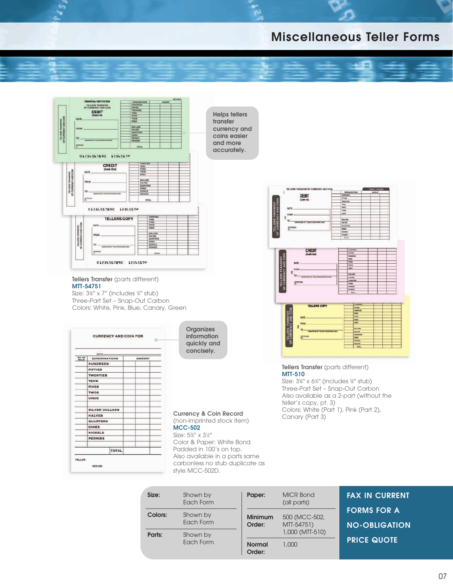## **Miscellaneous Teller Forms**



**Tellers Transfer** (parts different) **MTT-54751**

Size: 3%" x 7" (includes 34" stub) Three-Part Set – Snap-Out Carbon Colors: White, Pink, Blue, Canary, Green

|                              | DATE                  |              |               |  |
|------------------------------|-----------------------|--------------|---------------|--|
| <b>NG.OF</b><br><b>BILLS</b> | <b>DENOMINATIONS</b>  |              | <b>AMOUNT</b> |  |
|                              | HUNDREDS              |              |               |  |
|                              | <b>FIFTIES</b>        |              |               |  |
|                              | <b>TWENTIES</b>       |              |               |  |
|                              | <b>TENS</b>           |              |               |  |
|                              | <b>FIVES</b>          |              |               |  |
|                              | <b>TWOS</b>           |              |               |  |
|                              | ONES                  |              |               |  |
|                              |                       |              |               |  |
|                              | <b>SILVER DOLLARS</b> |              |               |  |
|                              | <b>HALVES</b>         |              |               |  |
|                              | <b>QUARTERS</b>       |              |               |  |
|                              | <b>DIMES</b>          |              |               |  |
|                              | <b>NICKELS</b>        |              |               |  |
|                              | <b>PENNIES</b>        |              |               |  |
|                              |                       |              |               |  |
|                              |                       | <b>TOTAL</b> |               |  |

**Organizes information quickly and concisely.**

**Currency & Coin Record** Colors, while (P)<br>Canary (Part 3) (non-imprinted stock item) **MCC-502**

Size: 53 ⁄8'' x 31 ⁄2'' Color & Paper: White Bond Padded in 100's on top. Also available in a parts same carbonless no stub duplicate as style MCC-502D.

| TELLERIS TRANSFER OF DURING WAY COM-                  |                                                                          |                        |  |               |  |
|-------------------------------------------------------|--------------------------------------------------------------------------|------------------------|--|---------------|--|
|                                                       |                                                                          | DESIGNATIONS           |  | <b>AMOUNT</b> |  |
| DEBIT                                                 |                                                                          | <b>HARMER</b>          |  |               |  |
| (Cash in)                                             | <b>IX WAS</b>                                                            |                        |  |               |  |
|                                                       |                                                                          | maynest                |  |               |  |
|                                                       | <b>TANK</b><br><b>Chair</b>                                              |                        |  |               |  |
| <b>BATE</b>                                           | freeze.                                                                  |                        |  |               |  |
|                                                       | point to                                                                 |                        |  |               |  |
| FROM:                                                 |                                                                          |                        |  |               |  |
| E                                                     |                                                                          | <b>DOLLARS</b>         |  |               |  |
| TO-<br>ENVIOR IN TELER RECEIVING DIEN                 | <b>ESCHIER</b>                                                           |                        |  |               |  |
|                                                       |                                                                          | <b>SLANTING</b>        |  |               |  |
| ATHENS                                                | <b>DAKE</b>                                                              |                        |  |               |  |
|                                                       |                                                                          | some                   |  |               |  |
|                                                       |                                                                          | <b>Homes</b> ic        |  |               |  |
|                                                       |                                                                          | <b>THEM</b>            |  |               |  |
| <b>CREDIT</b>                                         |                                                                          | <b>Here</b> n<br>14748 |  |               |  |
| (Cash Dat)                                            |                                                                          | <b>TEXASTER</b>        |  |               |  |
|                                                       | the<br>$\overline{ }$                                                    |                        |  |               |  |
| <b>BATE</b>                                           |                                                                          |                        |  |               |  |
|                                                       |                                                                          | TWOG                   |  |               |  |
| <b>RISCUAL</b>                                        |                                                                          | <b>DESTE</b>           |  |               |  |
| ŧ                                                     |                                                                          |                        |  |               |  |
| $10 -$<br>CASHFORN AP 101/28 BILLIANNA KRON-          | DOLLARS<br>14, 202<br><b>CEAMPIONS</b><br><b>States</b><br><b>AcRIVE</b> |                        |  |               |  |
|                                                       |                                                                          |                        |  |               |  |
| <b>APPROVED</b><br>m                                  |                                                                          |                        |  |               |  |
|                                                       |                                                                          |                        |  |               |  |
|                                                       |                                                                          | respons.               |  |               |  |
| TELLERS TRANSFER<br>OF CURRENCY AND COIN              |                                                                          | <b>Silver</b>          |  |               |  |
|                                                       |                                                                          |                        |  |               |  |
|                                                       |                                                                          | <b>HARMON</b>          |  |               |  |
| <b>TELLERS COPY</b>                                   |                                                                          | <b>Auction</b>         |  |               |  |
|                                                       |                                                                          | <b>THRACES</b>         |  |               |  |
|                                                       |                                                                          | <b>Now</b>             |  |               |  |
| <b>SATE</b>                                           |                                                                          | <b>mars</b>            |  |               |  |
|                                                       |                                                                          | term                   |  |               |  |
| <b>FROM</b>                                           |                                                                          | then                   |  |               |  |
| ł                                                     |                                                                          | 201.402                |  |               |  |
| $\overline{19}$ $-$<br>SEARCHE OF TELES INCOMING CASH |                                                                          | HALIFE                 |  |               |  |
|                                                       |                                                                          | <b>SUMMERS</b>         |  |               |  |
| Armours                                               |                                                                          | <b>Division</b>        |  |               |  |
| ELLERS TRANSFER<br>CURRENCY AND COIN                  |                                                                          | <b>NORDER</b>          |  |               |  |
| b                                                     |                                                                          | rewes.<br><b>TREA</b>  |  |               |  |

**Tellers Transfer** (parts different) **MTT-510**

Size: 3%" x 6%" (includes %" stub) Three-Part Set – Snap-Out Carbon Also available as a 2-part (without the teller's copy, pt. 3) Colors: White (Part 1), Pink (Part 2),

| Size:   | Shown by<br>Each Form | Paper:                   | <b>MICR Bond</b><br>(all parts) | <b>FAX IN CURRENT</b>                      |
|---------|-----------------------|--------------------------|---------------------------------|--------------------------------------------|
| Colors: | Shown by<br>Each Form | <b>Minimum</b><br>Order: | 500 (MCC-502,<br>MTT-54751)     | <b>FORMS FOR A</b><br><b>NO-OBLIGATION</b> |
| Parts:  | Shown by              |                          | 1,000 (MTT-510)                 |                                            |
|         | Each Form             | <b>Normal</b><br>Order:  | 1.000                           | <b>PRICE QUOTE</b>                         |